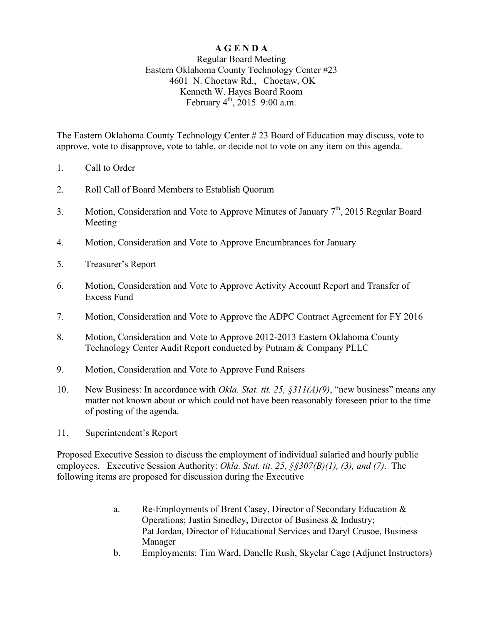## **A G E N D A**

## Regular Board Meeting Eastern Oklahoma County Technology Center #23 4601 N. Choctaw Rd., Choctaw, OK Kenneth W. Hayes Board Room February  $4^{th}$ , 2015 9:00 a.m.

The Eastern Oklahoma County Technology Center # 23 Board of Education may discuss, vote to approve, vote to disapprove, vote to table, or decide not to vote on any item on this agenda.

- 1. Call to Order
- 2. Roll Call of Board Members to Establish Quorum
- 3. Motion, Consideration and Vote to Approve Minutes of January 7<sup>th</sup>, 2015 Regular Board Meeting
- 4. Motion, Consideration and Vote to Approve Encumbrances for January
- 5. Treasurer's Report
- 6. Motion, Consideration and Vote to Approve Activity Account Report and Transfer of Excess Fund
- 7. Motion, Consideration and Vote to Approve the ADPC Contract Agreement for FY 2016
- 8. Motion, Consideration and Vote to Approve 2012-2013 Eastern Oklahoma County Technology Center Audit Report conducted by Putnam & Company PLLC
- 9. Motion, Consideration and Vote to Approve Fund Raisers
- 10. New Business: In accordance with *Okla. Stat. tit. 25, §311(A)(9)*, "new business" means any matter not known about or which could not have been reasonably foreseen prior to the time of posting of the agenda.
- 11. Superintendent's Report

Proposed Executive Session to discuss the employment of individual salaried and hourly public employees. Executive Session Authority: *Okla. Stat. tit. 25, §§307(B)(1), (3), and (7)*. The following items are proposed for discussion during the Executive

- a. Re-Employments of Brent Casey, Director of Secondary Education & Operations; Justin Smedley, Director of Business & Industry; Pat Jordan, Director of Educational Services and Daryl Crusoe, Business Manager
- b. Employments: Tim Ward, Danelle Rush, Skyelar Cage (Adjunct Instructors)